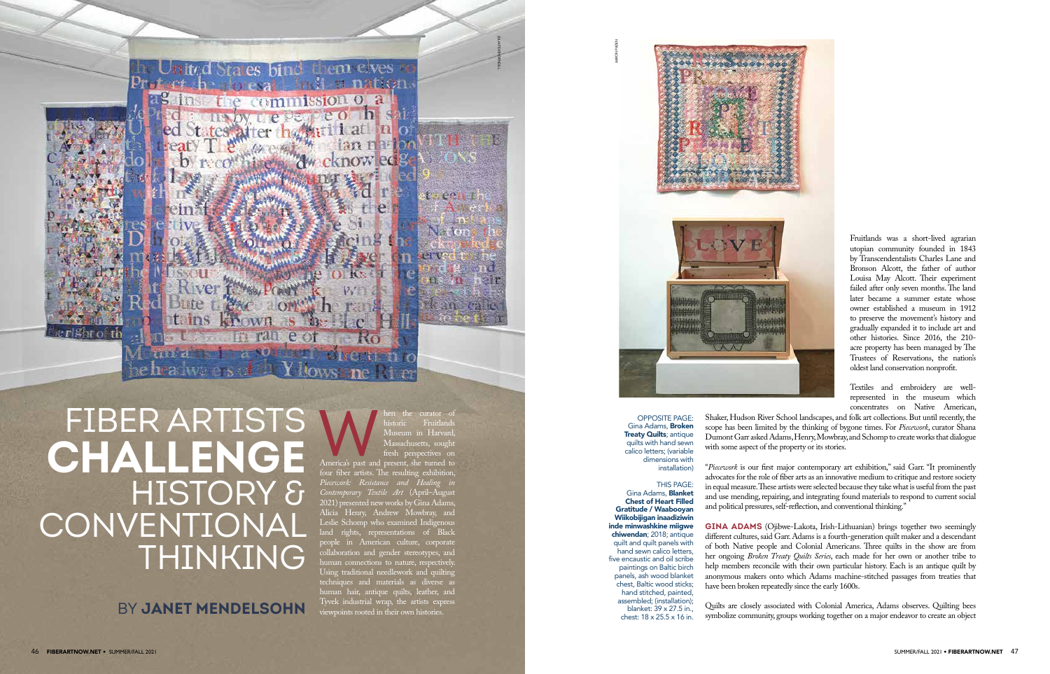BY **JANET MENDELSOHN** 



## Men the curator of historic Fruitlands<br>
Museum in Harvard,<br>
Massachusetts, sought<br>
fresh perspectives on<br>
America's past and present, she turned to historic Fruitlands in Harvard Massachusetts, sough fresh perspectives on four fiber artists. The resulting exhibition, *Piecework: Resistance and Healing in Contemporary Textile Art* (April–August 2021) presented new works by Gina Adams, Alicia Henry, Andrew Mowbray, and Leslie Schomp who examined Indigenous land rights, representations of Black people in American culture, corporate collaboration and gender stereotypes, and human connections to nature, respectively Using traditional needlework and quilting techniques and materials as diverse as human hair, antique quilts, leather, and Tyvek industrial wrap, the artists express viewpoints rooted in their own histories.

FIBER ARTISTS **CHALLENGE** HISTORY & **CONVENTIONAL** THINKING

Fruitlands was a short-lived agrarian utopian community founded in 1843 by Transcendentalists Charles Lane and Bronson Alcott, the father of author Louisa May Alcott. Their experiment failed after only seven months. The land later became a summer estate whose owner established a museum in 1912 to preserve the movement's history and gradually expanded it to include art and other histories. Since 2016, the 210 acre property has been managed by The Trustees of Reservations, the nation's oldest land conservation nonprofit.

Textiles and embroidery are wellrepresented in the museum which concentrates on Native American,

Shaker, Hudson River School landscapes, and folk art collections. But until recently, the scope has been limited by the thinking of bygone times. For *Piecework*, curator Shana Dumont Garr asked Adams, Henry, Mowbray, and Schomp to create works that dialogue with some aspect of the property or its stories.

"*Piecework* is our first major contemporary art exhibition," said Garr. "It prominently advocates for the role of fiber arts as an innovative medium to critique and restore society in equal measure. These artists were selected because they take what is useful from the past and use mending, repairing, and integrating found materials to respond to current social and political pressures, self-reflection, and conventional thinking."

**GINA ADAMS** (Ojibwe-Lakota, Irish-Lithuanian) brings together two seemingly different cultures, said Garr. Adams is a fourth-generation quilt maker and a descendant of both Native people and Colonial Americans. Three quilts in the show are from her ongoing *Broken Treaty Quilts Series*, each made for her own or another tribe to help members reconcile with their own particular history. Each is an antique quilt by anonymous makers onto which Adams machine-stitched passages from treaties that have been broken repeatedly since the early 1600s.

Quilts are closely associated with Colonial America, Adams observes. Quilting bees symbolize community, groups working together on a major endeavor to create an object



OPPOSITE PAGE: Gina Adams, **Broken Treaty Quilts; antique** quilts with hand sewn calico letters; (variable dimensions with installation)

THIS PAGE: Gina Adams, Blanket Chest of Heart Filled Gratitude / Waabooyan Wiikobijigan inaadiziwin inde minwashkine miigwe chiwendan; 2018; antique quilt and quilt panels with hand sewn calico letters, five encaustic and oil scribe paintings on Baltic birch panels, ash wood blanket chest, Baltic wood sticks; hand stitched, painted, assembled; (installation); blanket: 39 x 27.5 in., chest: 18 x 25.5 x 16 in.

JULIA FEATHERINGILL

 $-00$ 

 $N - 0$ 

an C

AARON PADEN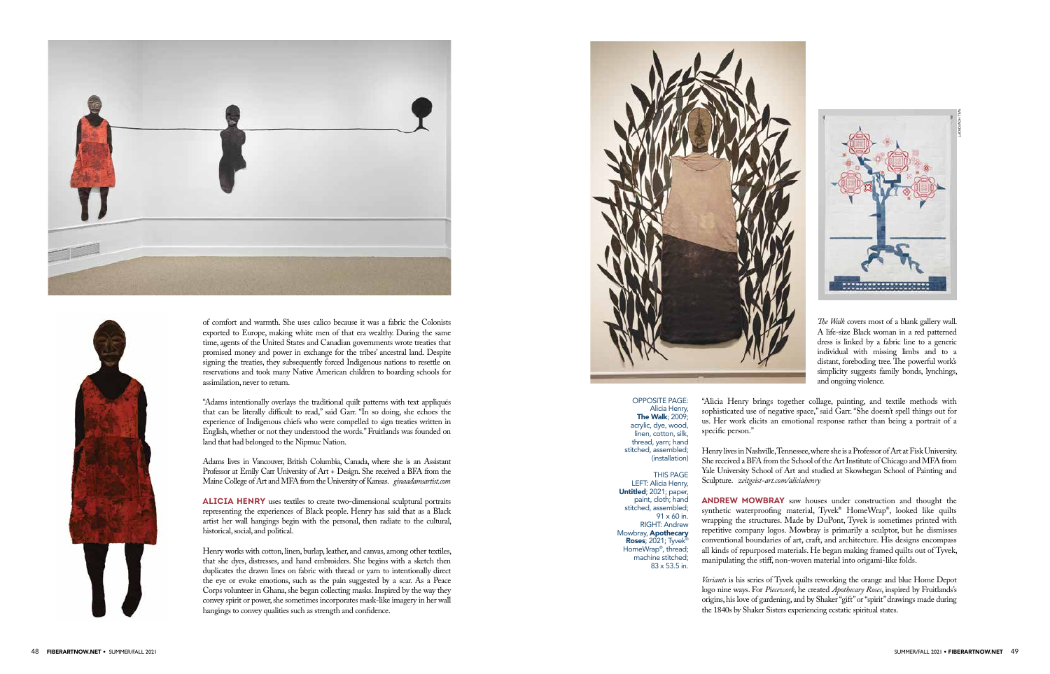



of comfort and warmth. She uses calico because it was a fabric the Colonists exported to Europe, making white men of that era wealthy. During the same time, agents of the United States and Canadian governments wrote treaties that promised money and power in exchange for the tribes' ancestral land. Despite signing the treaties, they subsequently forced Indigenous nations to resettle on reservations and took many Native American children to boarding schools for assimilation, never to return.

"Adams intentionally overlays the traditional quilt patterns with text appliqués that can be literally difficult to read," said Garr. "In so doing, she echoes the experience of Indigenous chiefs who were compelled to sign treaties written in English, whether or not they understood the words." Fruitlands was founded on land that had belonged to the Nipmuc Nation.

Adams lives in Vancouver, British Columbia, Canada, where she is an Assistant Professor at Emily Carr University of Art + Design. She received a BFA from the Maine College of Art and MFA from the University of Kansas. *ginaadamsartist.com*

**ALICIA HENRY** uses textiles to create two-dimensional sculptural portraits representing the experiences of Black people. Henry has said that as a Black artist her wall hangings begin with the personal, then radiate to the cultural, historical, social, and political.

Henry works with cotton, linen, burlap, leather, and canvas, among other textiles, that she dyes, distresses, and hand embroiders. She begins with a sketch then duplicates the drawn lines on fabric with thread or yarn to intentionally direct the eye or evoke emotions, such as the pain suggested by a scar. As a Peace Corps volunteer in Ghana, she began collecting masks. Inspired by the way they convey spirit or power, she sometimes incorporates mask-like imagery in her wall hangings to convey qualities such as strength and confidence.



*The Walk* covers most of a blank gallery wall. A life-size Black woman in a red patterned dress is linked by a fabric line to a generic individual with missing limbs and to a distant, foreboding tree. The powerful work's simplicity suggests family bonds, lynchings, and ongoing violence.

"Alicia Henry brings together collage, painting, and textile methods with sophisticated use of negative space," said Garr. "She doesn't spell things out for us. Her work elicits an emotional response rather than being a portrait of a

specific person."

Henry lives in Nashville, Tennessee, where she is a Professor of Art at Fisk University. She received a BFA from the School of the Art Institute of Chicago and MFA from Yale University School of Art and studied at Skowhegan School of Painting and

**ANDREW MOWBRAY** saw houses under construction and thought the synthetic waterproofing material, Tyvek® HomeWrap®, looked like quilts wrapping the structures. Made by DuPont, Tyvek is sometimes printed with repetitive company logos. Mowbray is primarily a sculptor, but he dismisses conventional boundaries of art, craft, and architecture. His designs encompass all kinds of repurposed materials. He began making framed quilts out of Tyvek, manipulating the stiff, non-woven material into origami-like folds.

Sculpture. *zeitgeist-art.com/aliciahenry*  (installation) THIS PAGE LEFT: Alicia Henry,

> *Variants* is his series of Tyvek quilts reworking the orange and blue Home Depot logo nine ways. For *Piecework*, he created *Apothecary Roses*, inspired by Fruitlands's origins, his love of gardening, and by Shaker "gift" or "spirit" drawings made during the 1840s by Shaker Sisters experiencing ecstatic spiritual states.

## OPPOSITE PAGE: Alicia Henry, The Walk; 2009; acrylic, dye, wood, linen, cotton, silk, thread, yarn; hand stitched, assembled;

Untitled; 2021; paper,

paint, cloth; hand stitched, assembled; 91 x 60 in. RIGHT: Andrew Mowbray, Apothecary Roses; 2021; Tyvek® HomeWrap® , thread; machine stitched; 83 x 53.5 in.